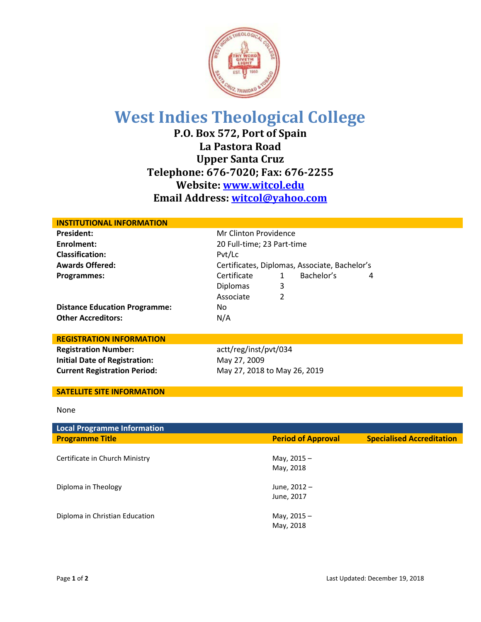

## **West Indies Theological College**

**P.O. Box 572, Port of Spain La Pastora Road Upper Santa Cruz Telephone: 676-7020; Fax: 676-2255 Website: [www.witcol.edu](http://www.witcol.edu/) Email Address: [witcol@yahoo.com](mailto:witcol@yahoo.com)**

| <b>INSTITUTIONAL INFORMATION</b>     |                            |                                               |            |   |  |
|--------------------------------------|----------------------------|-----------------------------------------------|------------|---|--|
| <b>President:</b>                    |                            | Mr Clinton Providence                         |            |   |  |
| Enrolment:                           | 20 Full-time; 23 Part-time |                                               |            |   |  |
| <b>Classification:</b>               | Pvt/Lc                     |                                               |            |   |  |
| <b>Awards Offered:</b>               |                            | Certificates, Diplomas, Associate, Bachelor's |            |   |  |
| Programmes:                          | Certificate                | $\mathbf{1}$                                  | Bachelor's | 4 |  |
|                                      | <b>Diplomas</b>            | 3                                             |            |   |  |
|                                      | Associate                  | $\overline{2}$                                |            |   |  |
| <b>Distance Education Programme:</b> | No.                        |                                               |            |   |  |
| <b>Other Accreditors:</b>            | N/A                        |                                               |            |   |  |
|                                      |                            |                                               |            |   |  |
| <b>REGISTRATION INFORMATION</b>      |                            |                                               |            |   |  |
| <b>Registration Number:</b>          | actt/reg/inst/pvt/034      |                                               |            |   |  |
| <b>Initial Date of Registration:</b> | May 27, 2009               |                                               |            |   |  |
| <b>Current Registration Period:</b>  |                            | May 27, 2018 to May 26, 2019                  |            |   |  |
|                                      |                            |                                               |            |   |  |
| <b>SATELLITE SITE INFORMATION</b>    |                            |                                               |            |   |  |
|                                      |                            |                                               |            |   |  |
| None                                 |                            |                                               |            |   |  |

| <b>Local Programme Information</b> |                            |                                  |
|------------------------------------|----------------------------|----------------------------------|
| <b>Programme Title</b>             | <b>Period of Approval</b>  | <b>Specialised Accreditation</b> |
| Certificate in Church Ministry     | May, $2015 -$<br>May, 2018 |                                  |
| Diploma in Theology                | June, 2012 -<br>June, 2017 |                                  |
| Diploma in Christian Education     | May, $2015 -$<br>May, 2018 |                                  |